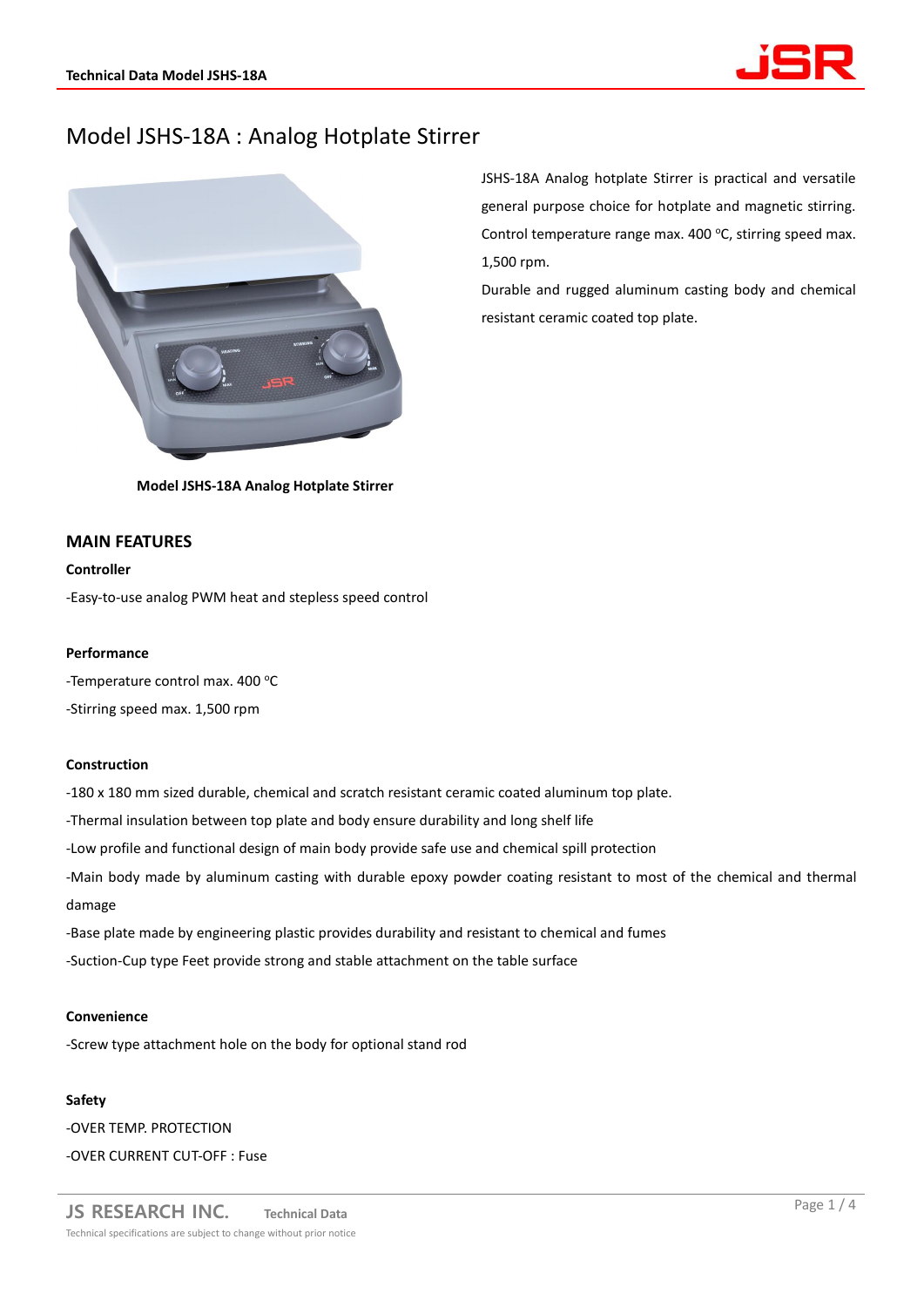# Model JSHS-18A : Analog Hotplate Stirrer



JSHS-18A Analog hotplate Stirrer is practical and versatile general purpose choice for hotplate and magnetic stirring. Control temperature range max. 400 $\degree$ C, stirring speed max. 1,500 rpm.

Durable and rugged aluminum casting body and chemical resistant ceramic coated top plate.

**Model JSHS-18A Analog Hotplate Stirrer**

## **MAIN FEATURES**

## **Controller**

-Easy-to-use analog PWM heat and stepless speed control

### **Performance**

-Temperature control max. 400 °C -Stirring speed max. 1,500 rpm

# **Construction**

-180 x 180 mm sized durable, chemical and scratch resistant ceramic coated aluminum top plate.

-Thermal insulation between top plate and body ensure durability and long shelf life

-Low profile and functional design of main body provide safe use and chemical spill protection

-Main body made by aluminum casting with durable epoxy powder coating resistant to most of the chemical and thermal damage

-Base plate made by engineering plastic provides durability and resistant to chemical and fumes -Suction-Cup type Feet provide strong and stable attachment on the table surface

### **Convenience**

-Screw type attachment hole on the body for optional stand rod

#### **Safety**

-OVER TEMP. PROTECTION -OVER CURRENT CUT-OFF : Fuse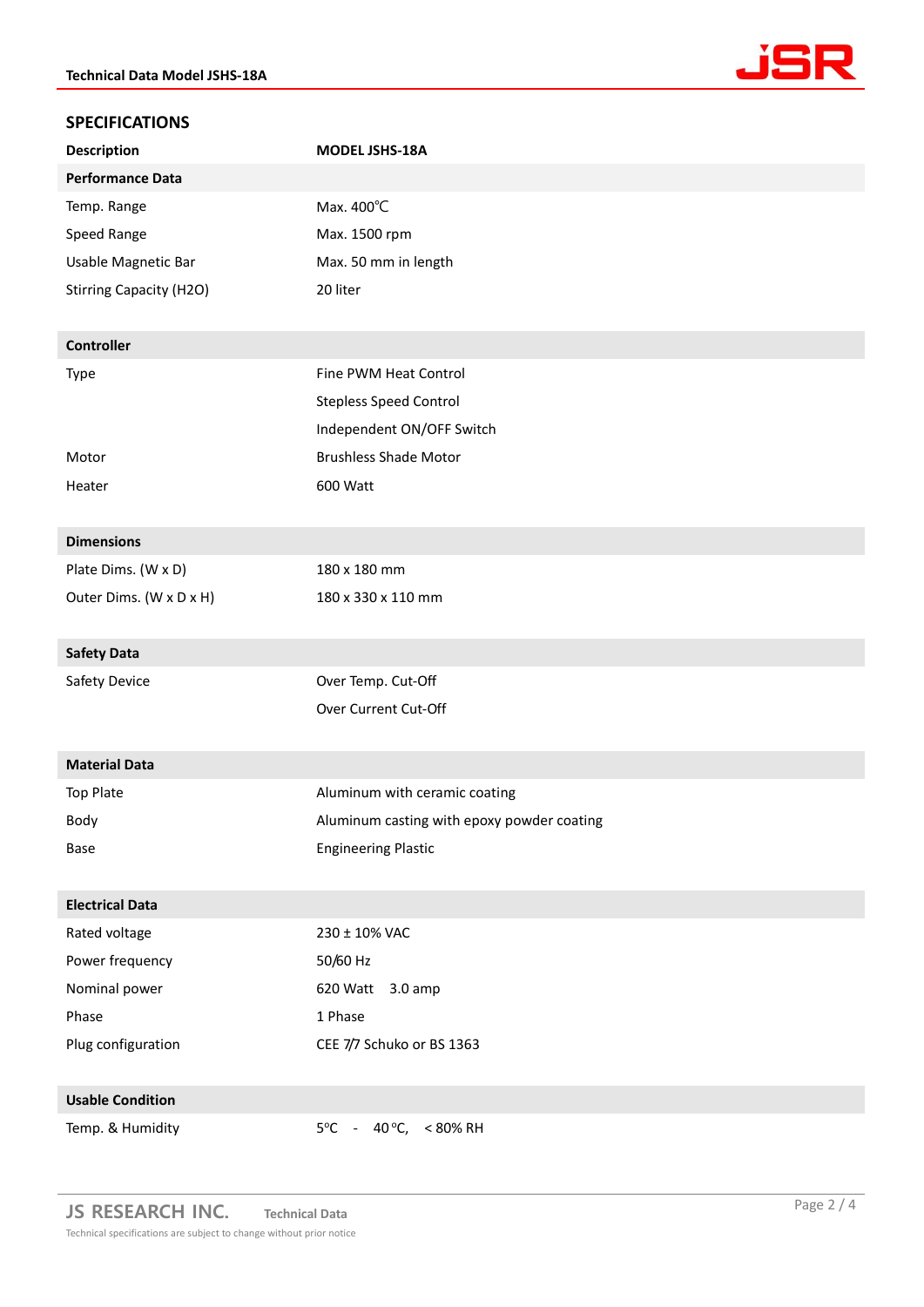

# **SPECIFICATIONS**

| <b>Description</b>             | MODEL JSHS-18A                             |
|--------------------------------|--------------------------------------------|
| <b>Performance Data</b>        |                                            |
| Temp. Range                    | Max. 400°C                                 |
| Speed Range                    | Max. 1500 rpm                              |
| Usable Magnetic Bar            | Max. 50 mm in length                       |
| <b>Stirring Capacity (H2O)</b> | 20 liter                                   |
|                                |                                            |
| <b>Controller</b>              |                                            |
| Type                           | Fine PWM Heat Control                      |
|                                | <b>Stepless Speed Control</b>              |
|                                | Independent ON/OFF Switch                  |
| Motor                          | <b>Brushless Shade Motor</b>               |
| Heater                         | 600 Watt                                   |
|                                |                                            |
| <b>Dimensions</b>              |                                            |
| Plate Dims. (W x D)            | 180 x 180 mm                               |
| Outer Dims. (W x D x H)        | 180 x 330 x 110 mm                         |
|                                |                                            |
| <b>Safety Data</b>             |                                            |
| Safety Device                  | Over Temp. Cut-Off                         |
|                                |                                            |
|                                | Over Current Cut-Off                       |
|                                |                                            |
| <b>Material Data</b>           |                                            |
| <b>Top Plate</b>               | Aluminum with ceramic coating              |
| Body                           | Aluminum casting with epoxy powder coating |
| Base                           | <b>Engineering Plastic</b>                 |
|                                |                                            |
| <b>Electrical Data</b>         |                                            |
| Rated voltage                  | 230 ± 10% VAC                              |
| Power frequency                | 50/60 Hz                                   |
| Nominal power                  | 620 Watt<br>$3.0 \text{ amp}$              |
| Phase                          | 1 Phase                                    |
| Plug configuration             | CEE 7/7 Schuko or BS 1363                  |
|                                |                                            |
| <b>Usable Condition</b>        |                                            |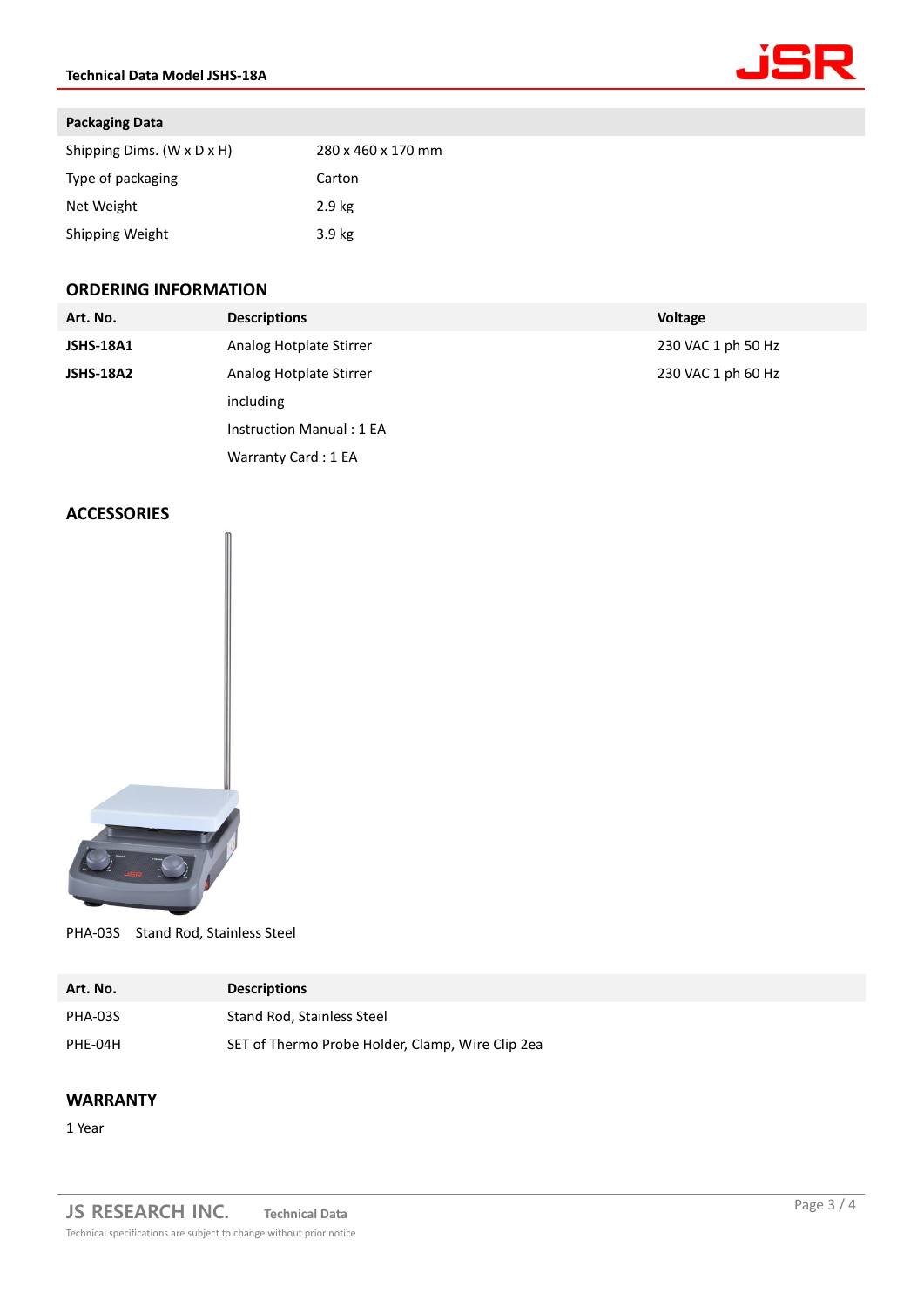

## **Packaging Data**

| Shipping Dims. (W x D x H) | 280 x 460 x 170 mm |
|----------------------------|--------------------|
| Type of packaging          | Carton             |
| Net Weight                 | 2.9 <sub>kg</sub>  |
| Shipping Weight            | 3.9 <sub>kg</sub>  |

# **ORDERING INFORMATION**

| Art. No.         | <b>Descriptions</b>      | <b>Voltage</b>     |
|------------------|--------------------------|--------------------|
| <b>JSHS-18A1</b> | Analog Hotplate Stirrer  | 230 VAC 1 ph 50 Hz |
| <b>JSHS-18A2</b> | Analog Hotplate Stirrer  | 230 VAC 1 ph 60 Hz |
|                  | including                |                    |
|                  | Instruction Manual: 1 EA |                    |
|                  | Warranty Card: 1 EA      |                    |

# **ACCESSORIES**



PHA-03S Stand Rod, Stainless Steel

| Art. No. | <b>Descriptions</b>                              |
|----------|--------------------------------------------------|
| PHA-03S  | Stand Rod. Stainless Steel                       |
| PHE-04H  | SET of Thermo Probe Holder, Clamp, Wire Clip 2ea |

# **WARRANTY**

1 Year